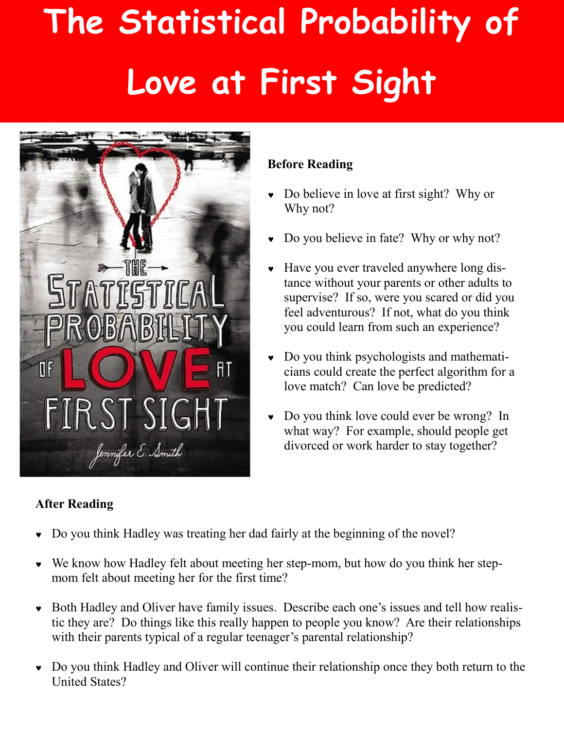# **The Statistical Probability of Love at First Sight**



## **After Reading**

### **Before Reading**

- Do believe in love at first sight? Why or Why not?
- Do you believe in fate? Why or why not?
- Have you ever traveled anywhere long distance without your parents or other adults to supervise? If so, were you scared or did you feel adventurous? If not, what do you think you could learn from such an experience?
- Do you think psychologists and mathematicians could create the perfect algorithm for a love match? Can love be predicted?
- Do you think love could ever be wrong? In what way? For example, should people get divorced or work harder to stay together?
- Do you think Hadley was treating her dad fairly at the beginning of the novel?
- We know how Hadley felt about meeting her step-mom, but how do you think her stepmom felt about meeting her for the first time?
- Both Hadley and Oliver have family issues. Describe each one's issues and tell how realistic they are? Do things like this really happen to people you know? Are their relationships with their parents typical of a regular teenager's parental relationship?
- Do you think Hadley and Oliver will continue their relationship once they both return to the United States?